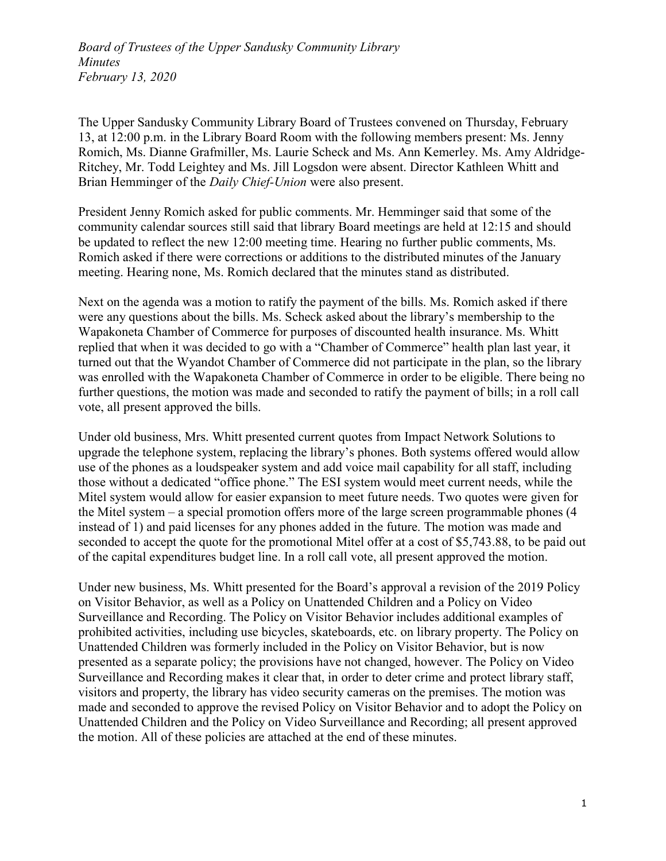The Upper Sandusky Community Library Board of Trustees convened on Thursday, February 13, at 12:00 p.m. in the Library Board Room with the following members present: Ms. Jenny Romich, Ms. Dianne Grafmiller, Ms. Laurie Scheck and Ms. Ann Kemerley. Ms. Amy Aldridge-Ritchey, Mr. Todd Leightey and Ms. Jill Logsdon were absent. Director Kathleen Whitt and Brian Hemminger of the *Daily Chief-Union* were also present.

President Jenny Romich asked for public comments. Mr. Hemminger said that some of the community calendar sources still said that library Board meetings are held at 12:15 and should be updated to reflect the new 12:00 meeting time. Hearing no further public comments, Ms. Romich asked if there were corrections or additions to the distributed minutes of the January meeting. Hearing none, Ms. Romich declared that the minutes stand as distributed.

Next on the agenda was a motion to ratify the payment of the bills. Ms. Romich asked if there were any questions about the bills. Ms. Scheck asked about the library's membership to the Wapakoneta Chamber of Commerce for purposes of discounted health insurance. Ms. Whitt replied that when it was decided to go with a "Chamber of Commerce" health plan last year, it turned out that the Wyandot Chamber of Commerce did not participate in the plan, so the library was enrolled with the Wapakoneta Chamber of Commerce in order to be eligible. There being no further questions, the motion was made and seconded to ratify the payment of bills; in a roll call vote, all present approved the bills.

Under old business, Mrs. Whitt presented current quotes from Impact Network Solutions to upgrade the telephone system, replacing the library's phones. Both systems offered would allow use of the phones as a loudspeaker system and add voice mail capability for all staff, including those without a dedicated "office phone." The ESI system would meet current needs, while the Mitel system would allow for easier expansion to meet future needs. Two quotes were given for the Mitel system – a special promotion offers more of the large screen programmable phones (4 instead of 1) and paid licenses for any phones added in the future. The motion was made and seconded to accept the quote for the promotional Mitel offer at a cost of \$5,743.88, to be paid out of the capital expenditures budget line. In a roll call vote, all present approved the motion.

Under new business, Ms. Whitt presented for the Board's approval a revision of the 2019 Policy on Visitor Behavior, as well as a Policy on Unattended Children and a Policy on Video Surveillance and Recording. The Policy on Visitor Behavior includes additional examples of prohibited activities, including use bicycles, skateboards, etc. on library property. The Policy on Unattended Children was formerly included in the Policy on Visitor Behavior, but is now presented as a separate policy; the provisions have not changed, however. The Policy on Video Surveillance and Recording makes it clear that, in order to deter crime and protect library staff, visitors and property, the library has video security cameras on the premises. The motion was made and seconded to approve the revised Policy on Visitor Behavior and to adopt the Policy on Unattended Children and the Policy on Video Surveillance and Recording; all present approved the motion. All of these policies are attached at the end of these minutes.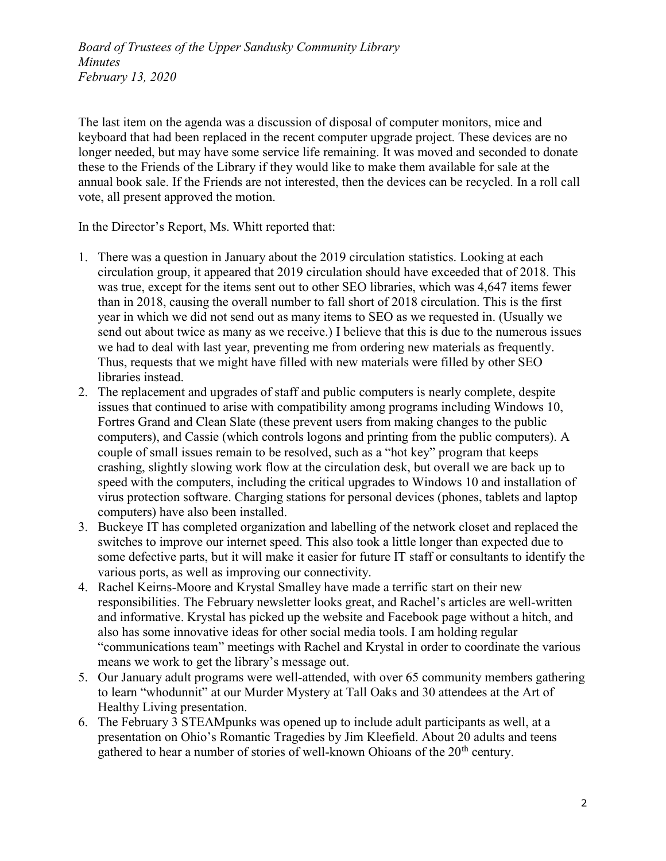The last item on the agenda was a discussion of disposal of computer monitors, mice and keyboard that had been replaced in the recent computer upgrade project. These devices are no longer needed, but may have some service life remaining. It was moved and seconded to donate these to the Friends of the Library if they would like to make them available for sale at the annual book sale. If the Friends are not interested, then the devices can be recycled. In a roll call vote, all present approved the motion.

In the Director's Report, Ms. Whitt reported that:

- 1. There was a question in January about the 2019 circulation statistics. Looking at each circulation group, it appeared that 2019 circulation should have exceeded that of 2018. This was true, except for the items sent out to other SEO libraries, which was 4,647 items fewer than in 2018, causing the overall number to fall short of 2018 circulation. This is the first year in which we did not send out as many items to SEO as we requested in. (Usually we send out about twice as many as we receive.) I believe that this is due to the numerous issues we had to deal with last year, preventing me from ordering new materials as frequently. Thus, requests that we might have filled with new materials were filled by other SEO libraries instead.
- 2. The replacement and upgrades of staff and public computers is nearly complete, despite issues that continued to arise with compatibility among programs including Windows 10, Fortres Grand and Clean Slate (these prevent users from making changes to the public computers), and Cassie (which controls logons and printing from the public computers). A couple of small issues remain to be resolved, such as a "hot key" program that keeps crashing, slightly slowing work flow at the circulation desk, but overall we are back up to speed with the computers, including the critical upgrades to Windows 10 and installation of virus protection software. Charging stations for personal devices (phones, tablets and laptop computers) have also been installed.
- 3. Buckeye IT has completed organization and labelling of the network closet and replaced the switches to improve our internet speed. This also took a little longer than expected due to some defective parts, but it will make it easier for future IT staff or consultants to identify the various ports, as well as improving our connectivity.
- 4. Rachel Keirns-Moore and Krystal Smalley have made a terrific start on their new responsibilities. The February newsletter looks great, and Rachel's articles are well-written and informative. Krystal has picked up the website and Facebook page without a hitch, and also has some innovative ideas for other social media tools. I am holding regular "communications team" meetings with Rachel and Krystal in order to coordinate the various means we work to get the library's message out.
- 5. Our January adult programs were well-attended, with over 65 community members gathering to learn "whodunnit" at our Murder Mystery at Tall Oaks and 30 attendees at the Art of Healthy Living presentation.
- 6. The February 3 STEAMpunks was opened up to include adult participants as well, at a presentation on Ohio's Romantic Tragedies by Jim Kleefield. About 20 adults and teens gathered to hear a number of stories of well-known Ohioans of the  $20<sup>th</sup>$  century.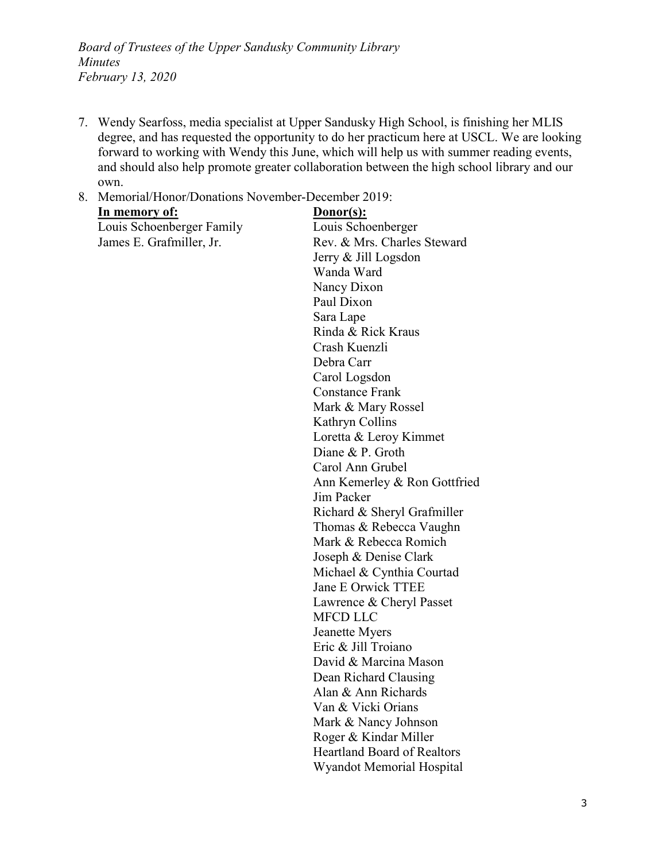7. Wendy Searfoss, media specialist at Upper Sandusky High School, is finishing her MLIS degree, and has requested the opportunity to do her practicum here at USCL. We are looking forward to working with Wendy this June, which will help us with summer reading events, and should also help promote greater collaboration between the high school library and our own.

#### 8. Memorial/Honor/Donations November-December 2019:

| <u>In memory of:</u>      | Donor(s):                          |
|---------------------------|------------------------------------|
| Louis Schoenberger Family | Louis Schoenberger                 |
| James E. Grafmiller, Jr.  | Rev. & Mrs. Charles Steward        |
|                           | Jerry & Jill Logsdon               |
|                           | Wanda Ward                         |
|                           | Nancy Dixon                        |
|                           | Paul Dixon                         |
|                           | Sara Lape                          |
|                           | Rinda & Rick Kraus                 |
|                           | Crash Kuenzli                      |
|                           | Debra Carr                         |
|                           | Carol Logsdon                      |
|                           | <b>Constance Frank</b>             |
|                           | Mark & Mary Rossel                 |
|                           | Kathryn Collins                    |
|                           | Loretta & Leroy Kimmet             |
|                           | Diane & P. Groth                   |
|                           | Carol Ann Grubel                   |
|                           | Ann Kemerley & Ron Gottfried       |
|                           | Jim Packer                         |
|                           | Richard & Sheryl Grafmiller        |
|                           | Thomas & Rebecca Vaughn            |
|                           | Mark & Rebecca Romich              |
|                           | Joseph & Denise Clark              |
|                           | Michael & Cynthia Courtad          |
|                           | <b>Jane E Orwick TTEE</b>          |
|                           | Lawrence & Cheryl Passet           |
|                           | <b>MFCD LLC</b>                    |
|                           | Jeanette Myers                     |
|                           | Eric & Jill Troiano                |
|                           | David & Marcina Mason              |
|                           | Dean Richard Clausing              |
|                           | Alan & Ann Richards                |
|                           | Van & Vicki Orians                 |
|                           | Mark & Nancy Johnson               |
|                           | Roger & Kindar Miller              |
|                           | <b>Heartland Board of Realtors</b> |
|                           | Wyandot Memorial Hospital          |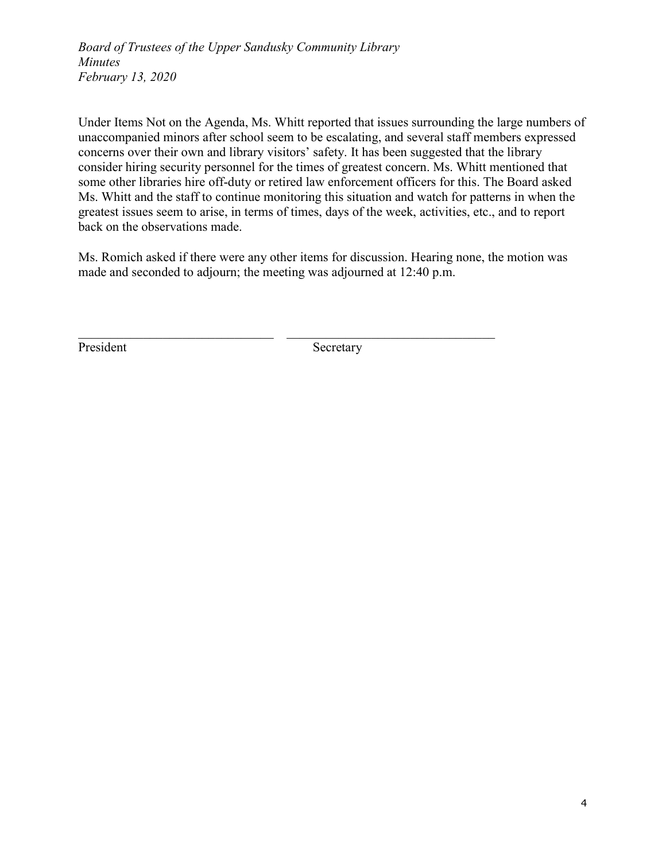Under Items Not on the Agenda, Ms. Whitt reported that issues surrounding the large numbers of unaccompanied minors after school seem to be escalating, and several staff members expressed concerns over their own and library visitors' safety. It has been suggested that the library consider hiring security personnel for the times of greatest concern. Ms. Whitt mentioned that some other libraries hire off-duty or retired law enforcement officers for this. The Board asked Ms. Whitt and the staff to continue monitoring this situation and watch for patterns in when the greatest issues seem to arise, in terms of times, days of the week, activities, etc., and to report back on the observations made.

Ms. Romich asked if there were any other items for discussion. Hearing none, the motion was made and seconded to adjourn; the meeting was adjourned at 12:40 p.m.

 $\_$  , and the contribution of the contribution of  $\mathcal{L}_\mathcal{L}$  , and the contribution of  $\mathcal{L}_\mathcal{L}$ 

President Secretary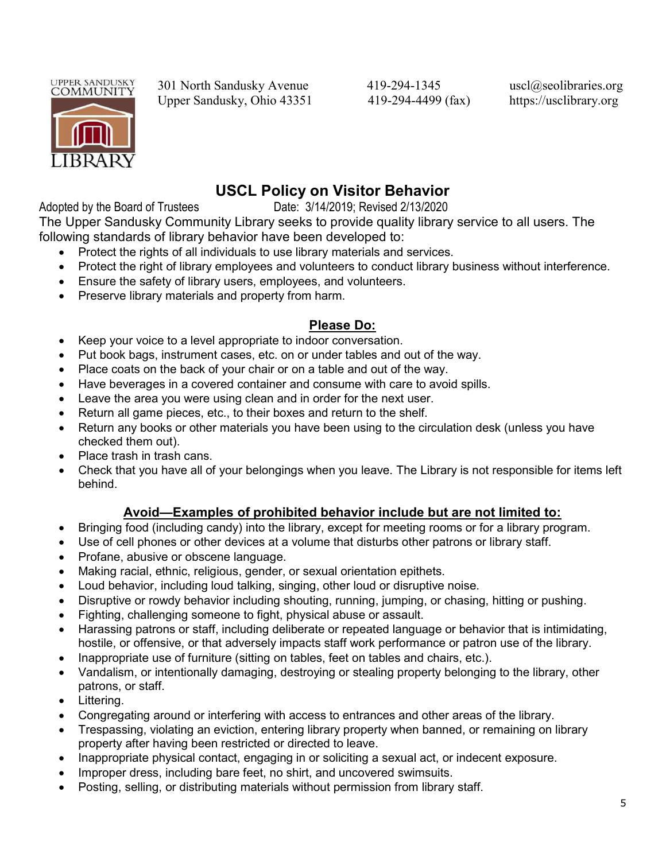

301 North Sandusky Avenue 419-294-1345 uscl@seolibraries.org Upper Sandusky, Ohio 43351 419-294-4499 (fax) https://usclibrary.org

# USCL Policy on Visitor Behavior

Adopted by the Board of Trustees Date: 3/14/2019; Revised 2/13/2020

The Upper Sandusky Community Library seeks to provide quality library service to all users. The following standards of library behavior have been developed to:

- Protect the rights of all individuals to use library materials and services.
- Protect the right of library employees and volunteers to conduct library business without interference.
- Ensure the safety of library users, employees, and volunteers.
- Preserve library materials and property from harm.

### Please Do:

- Keep your voice to a level appropriate to indoor conversation.
- Put book bags, instrument cases, etc. on or under tables and out of the way.
- Place coats on the back of your chair or on a table and out of the way.
- Have beverages in a covered container and consume with care to avoid spills.
- Leave the area you were using clean and in order for the next user.
- Return all game pieces, etc., to their boxes and return to the shelf.
- Return any books or other materials you have been using to the circulation desk (unless you have checked them out).
- Place trash in trash cans.
- Check that you have all of your belongings when you leave. The Library is not responsible for items left behind.

## Avoid—Examples of prohibited behavior include but are not limited to:

- Bringing food (including candy) into the library, except for meeting rooms or for a library program.
- Use of cell phones or other devices at a volume that disturbs other patrons or library staff.
- Profane, abusive or obscene language.
- Making racial, ethnic, religious, gender, or sexual orientation epithets.
- Loud behavior, including loud talking, singing, other loud or disruptive noise.
- Disruptive or rowdy behavior including shouting, running, jumping, or chasing, hitting or pushing.
- Fighting, challenging someone to fight, physical abuse or assault.
- Harassing patrons or staff, including deliberate or repeated language or behavior that is intimidating, hostile, or offensive, or that adversely impacts staff work performance or patron use of the library.
- Inappropriate use of furniture (sitting on tables, feet on tables and chairs, etc.).
- Vandalism, or intentionally damaging, destroying or stealing property belonging to the library, other patrons, or staff.
- Littering.
- Congregating around or interfering with access to entrances and other areas of the library.
- Trespassing, violating an eviction, entering library property when banned, or remaining on library property after having been restricted or directed to leave.
- Inappropriate physical contact, engaging in or soliciting a sexual act, or indecent exposure.
- Improper dress, including bare feet, no shirt, and uncovered swimsuits.
- Posting, selling, or distributing materials without permission from library staff.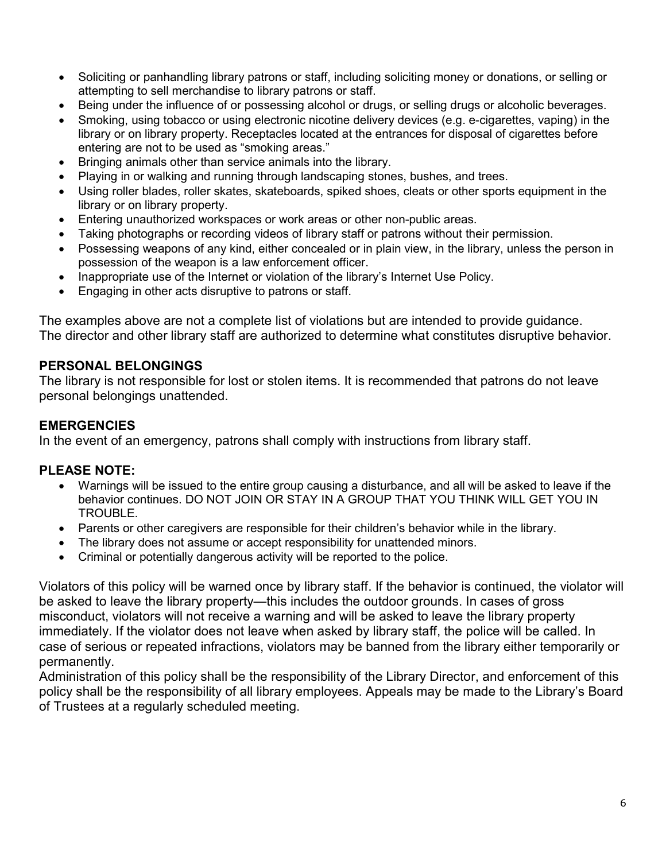- Soliciting or panhandling library patrons or staff, including soliciting money or donations, or selling or attempting to sell merchandise to library patrons or staff.
- Being under the influence of or possessing alcohol or drugs, or selling drugs or alcoholic beverages.
- Smoking, using tobacco or using electronic nicotine delivery devices (e.g. e-cigarettes, vaping) in the library or on library property. Receptacles located at the entrances for disposal of cigarettes before entering are not to be used as "smoking areas."
- Bringing animals other than service animals into the library.
- Playing in or walking and running through landscaping stones, bushes, and trees.
- Using roller blades, roller skates, skateboards, spiked shoes, cleats or other sports equipment in the library or on library property.
- Entering unauthorized workspaces or work areas or other non-public areas.
- Taking photographs or recording videos of library staff or patrons without their permission.
- Possessing weapons of any kind, either concealed or in plain view, in the library, unless the person in possession of the weapon is a law enforcement officer.
- Inappropriate use of the Internet or violation of the library's Internet Use Policy.
- Engaging in other acts disruptive to patrons or staff.

The examples above are not a complete list of violations but are intended to provide guidance. The director and other library staff are authorized to determine what constitutes disruptive behavior.

#### PERSONAL BELONGINGS

The library is not responsible for lost or stolen items. It is recommended that patrons do not leave personal belongings unattended.

### **EMERGENCIES**

In the event of an emergency, patrons shall comply with instructions from library staff.

#### PLEASE NOTE:

- Warnings will be issued to the entire group causing a disturbance, and all will be asked to leave if the behavior continues. DO NOT JOIN OR STAY IN A GROUP THAT YOU THINK WILL GET YOU IN TROUBLE.
- Parents or other caregivers are responsible for their children's behavior while in the library.
- The library does not assume or accept responsibility for unattended minors.
- Criminal or potentially dangerous activity will be reported to the police.

Violators of this policy will be warned once by library staff. If the behavior is continued, the violator will be asked to leave the library property—this includes the outdoor grounds. In cases of gross misconduct, violators will not receive a warning and will be asked to leave the library property immediately. If the violator does not leave when asked by library staff, the police will be called. In case of serious or repeated infractions, violators may be banned from the library either temporarily or permanently.

Administration of this policy shall be the responsibility of the Library Director, and enforcement of this policy shall be the responsibility of all library employees. Appeals may be made to the Library's Board of Trustees at a regularly scheduled meeting.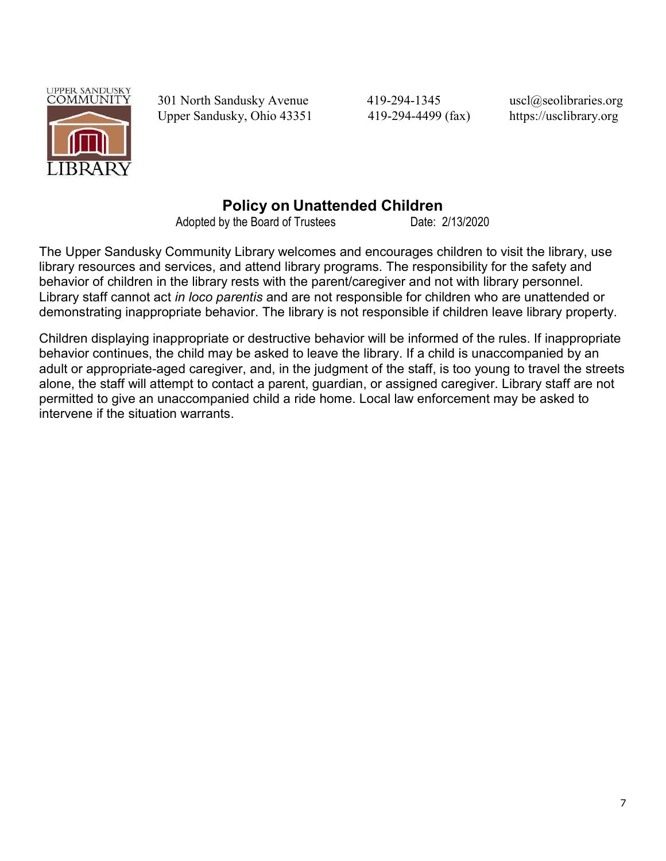

301 North Sandusky Avenue 419-294-1345 uscl@seolibraries.org Upper Sandusky, Ohio 43351 419-294-4499 (fax) https://usclibrary.org

# Policy on Unattended Children

Adopted by the Board of Trustees Date: 2/13/2020

The Upper Sandusky Community Library welcomes and encourages children to visit the library, use library resources and services, and attend library programs. The responsibility for the safety and behavior of children in the library rests with the parent/caregiver and not with library personnel. Library staff cannot act in loco parentis and are not responsible for children who are unattended or demonstrating inappropriate behavior. The library is not responsible if children leave library property.

Children displaying inappropriate or destructive behavior will be informed of the rules. If inappropriate behavior continues, the child may be asked to leave the library. If a child is unaccompanied by an adult or appropriate-aged caregiver, and, in the judgment of the staff, is too young to travel the streets alone, the staff will attempt to contact a parent, guardian, or assigned caregiver. Library staff are not permitted to give an unaccompanied child a ride home. Local law enforcement may be asked to intervene if the situation warrants.